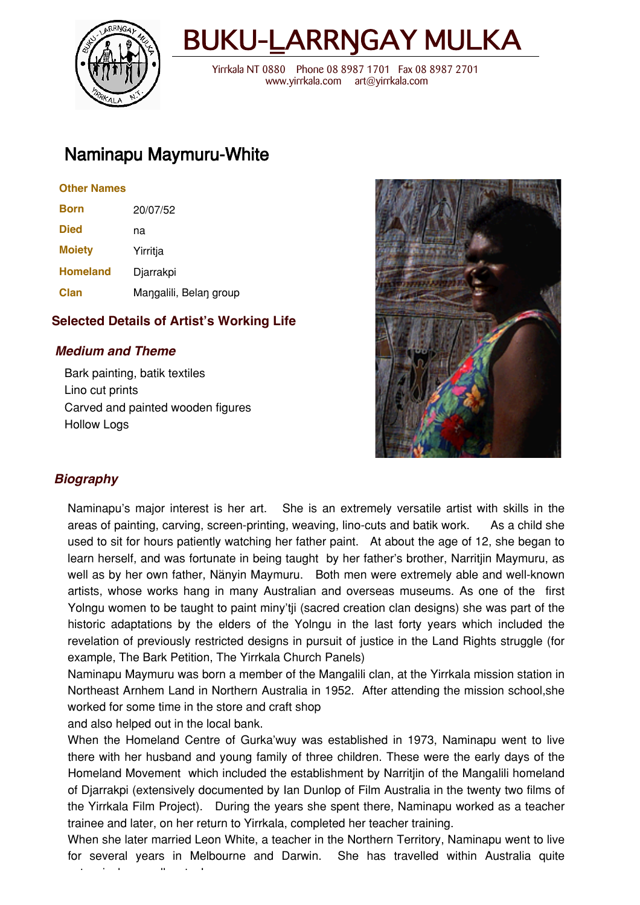

# BUKU-LARRNGAY MULKA

 Yirrkala NT 0880 Phone 08 8987 1701 Fax 08 8987 2701 www.yirrkala.com art@yirrkala.com

# Naminapu Maymuru-White

#### **Other Names**

| <b>Born</b>     | 20/07/52               |
|-----------------|------------------------|
| <b>Died</b>     | na                     |
| <b>Moiety</b>   | Yirritja               |
| <b>Homeland</b> | Djarrakpi              |
| Clan            | Mangalili, Belan group |

## **Selected Details of Artist's Working Life**

## **Medium and Theme**

Bark painting, batik textiles Lino cut prints Carved and painted wooden figures Hollow Logs



# **Biography**

Naminapu's major interest is her art. She is an extremely versatile artist with skills in the areas of painting, carving, screen-printing, weaving, lino-cuts and batik work. As a child she used to sit for hours patiently watching her father paint. At about the age of 12, she began to learn herself, and was fortunate in being taught by her father's brother, Narritjin Maymuru, as well as by her own father, Nånyin Maymuru. Both men were extremely able and well-known artists, whose works hang in many Australian and overseas museums. As one of the first Yolngu women to be taught to paint miny'tji (sacred creation clan designs) she was part of the historic adaptations by the elders of the Yolngu in the last forty years which included the revelation of previously restricted designs in pursuit of justice in the Land Rights struggle (for example, The Bark Petition, The Yirrkala Church Panels)

Naminapu Maymuru was born a member of the Mangalili clan, at the Yirrkala mission station in Northeast Arnhem Land in Northern Australia in 1952. After attending the mission school,she worked for some time in the store and craft shop

and also helped out in the local bank.

When the Homeland Centre of Gurka'wuy was established in 1973, Naminapu went to live there with her husband and young family of three children. These were the early days of the Homeland Movement which included the establishment by Narritjin of the Mangalili homeland of Djarrakpi (extensively documented by Ian Dunlop of Film Australia in the twenty two films of the Yirrkala Film Project). During the years she spent there, Naminapu worked as a teacher trainee and later, on her return to Yirrkala, completed her teacher training.

When she later married Leon White, a teacher in the Northern Territory, Naminapu went to live for several years in Melbourne and Darwin. She has travelled within Australia quite extensively as well as to Japan.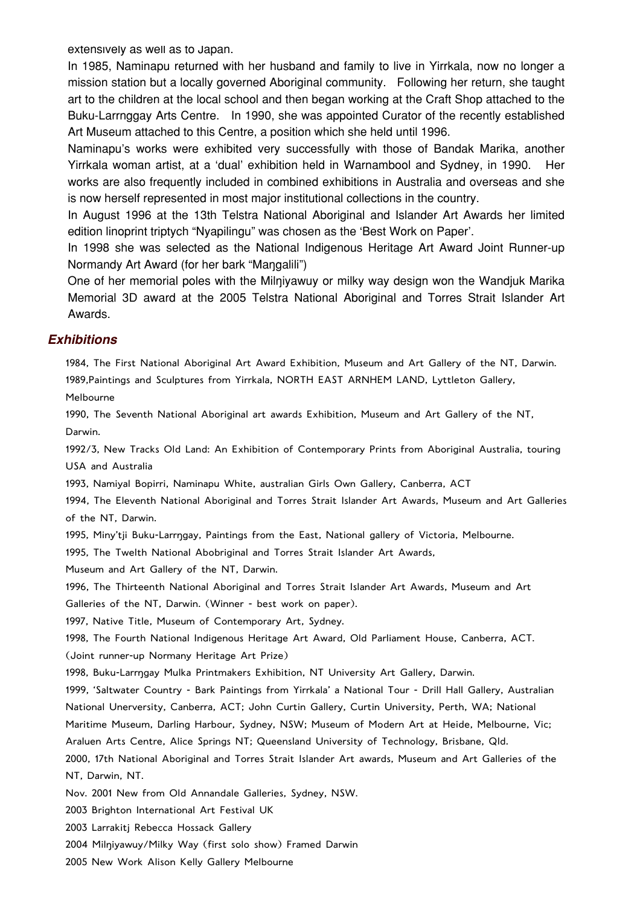extensively as well as to Japan.

In 1985, Naminapu returned with her husband and family to live in Yirrkala, now no longer a mission station but a locally governed Aboriginal community. Following her return, she taught art to the children at the local school and then began working at the Craft Shop attached to the Buku-Larrnggay Arts Centre. In 1990, she was appointed Curator of the recently established Art Museum attached to this Centre, a position which she held until 1996.

Naminapu's works were exhibited very successfully with those of Bandak Marika, another Yirrkala woman artist, at a 'dual' exhibition held in Warnambool and Sydney, in 1990. Her works are also frequently included in combined exhibitions in Australia and overseas and she is now herself represented in most major institutional collections in the country.

In August 1996 at the 13th Telstra National Aboriginal and Islander Art Awards her limited edition linoprint triptych "Nyapilingu" was chosen as the 'Best Work on Paper'.

In 1998 she was selected as the National Indigenous Heritage Art Award Joint Runner-up Normandy Art Award (for her bark "Mangalili")

One of her memorial poles with the Milniyawuy or milky way design won the Wandjuk Marika Memorial 3D award at the 2005 Telstra National Aboriginal and Torres Strait Islander Art Awards.

#### **Exhibitions**

1984, The First National Aboriginal Art Award Exhibition, Museum and Art Gallery of the NT, Darwin. 1989,Paintings and Sculptures from Yirrkala, NORTH EAST ARNHEM LAND, Lyttleton Gallery, Melbourne

1990, The Seventh National Aboriginal art awards Exhibition, Museum and Art Gallery of the NT, Darwin.

1992/3, New Tracks Old Land: An Exhibition of Contemporary Prints from Aboriginal Australia, touring USA and Australia

1993, Namiyal Bopirri, Naminapu White, australian Girls Own Gallery, Canberra, ACT

1994, The Eleventh National Aboriginal and Torres Strait Islander Art Awards, Museum and Art Galleries of the NT, Darwin.

1995, Miny'tji Buku-Larrngay, Paintings from the East, National gallery of Victoria, Melbourne.

1995, The Twelth National Abobriginal and Torres Strait Islander Art Awards,

Museum and Art Gallery of the NT, Darwin.

1996, The Thirteenth National Aboriginal and Torres Strait Islander Art Awards, Museum and Art Galleries of the NT, Darwin. (Winner - best work on paper).

1997, Native Title, Museum of Contemporary Art, Sydney.

1998, The Fourth National Indigenous Heritage Art Award, Old Parliament House, Canberra, ACT.

(Joint runner-up Normany Heritage Art Prize)

1998, Buku-Larrngay Mulka Printmakers Exhibition, NT University Art Gallery, Darwin.

1999, 'Saltwater Country - Bark Paintings from Yirrkala' a National Tour - Drill Hall Gallery, Australian National Unerversity, Canberra, ACT; John Curtin Gallery, Curtin University, Perth, WA; National

Maritime Museum, Darling Harbour, Sydney, NSW; Museum of Modern Art at Heide, Melbourne, Vic;

Araluen Arts Centre, Alice Springs NT; Queensland University of Technology, Brisbane, Qld.

2000, 17th National Aboriginal and Torres Strait Islander Art awards, Museum and Art Galleries of the NT, Darwin, NT.

Nov. 2001 New from Old Annandale Galleries, Sydney, NSW.

2003 Brighton International Art Festival UK

2003 Larrakitj Rebecca Hossack Gallery

2004 Milniyawuy/Milky Way (first solo show) Framed Darwin

2005 New Work Alison Kelly Gallery Melbourne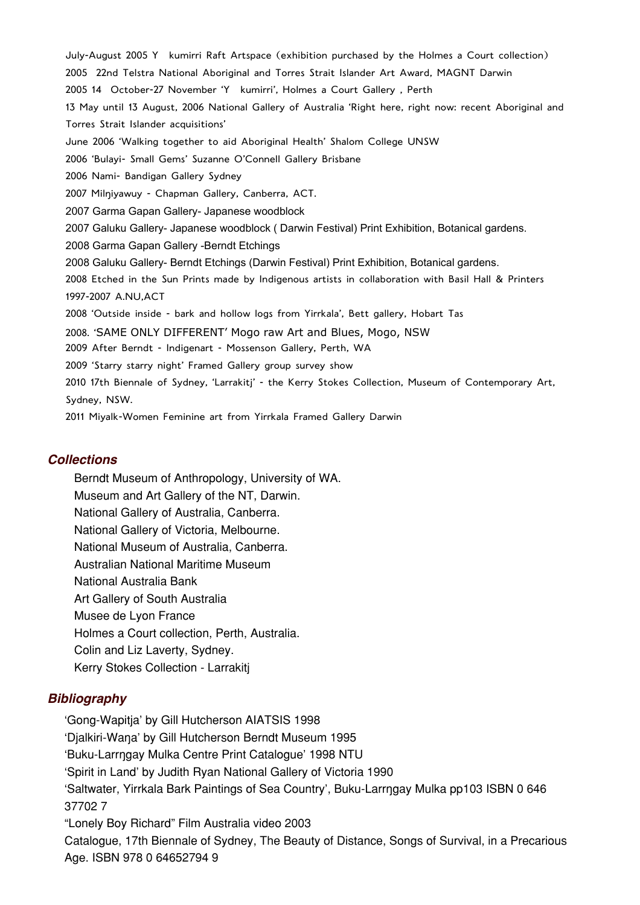July-August 2005 Y kumirri Raft Artspace (exhibition purchased by the Holmes a Court collection) 2005 22nd Telstra National Aboriginal and Torres Strait Islander Art Award, MAGNT Darwin 2005 14 October-27 November 'Y kumirri', Holmes a Court Gallery , Perth 13 May until 13 August, 2006 National Gallery of Australia 'Right here, right now: recent Aboriginal and Torres Strait Islander acquisitions' June 2006 'Walking together to aid Aboriginal Health' Shalom College UNSW 2006 'Bulayi- Small Gems' Suzanne O'Connell Gallery Brisbane 2006 Nami- Bandigan Gallery Sydney 2007 Milniyawuy - Chapman Gallery, Canberra, ACT. 2007 Garma Gapan Gallery- Japanese woodblock 2007 Galuku Gallery- Japanese woodblock ( Darwin Festival) Print Exhibition, Botanical gardens. 2008 Garma Gapan Gallery -Berndt Etchings 2008 Galuku Gallery- Berndt Etchings (Darwin Festival) Print Exhibition, Botanical gardens. 2008 Etched in the Sun Prints made by Indigenous artists in collaboration with Basil Hall & Printers 1997-2007 A.NU,ACT 2008 'Outside inside - bark and hollow logs from Yirrkala', Bett gallery, Hobart Tas 2008. 'SAME ONLY DIFFERENT' Mogo raw Art and Blues, Mogo, NSW 2009 After Berndt - Indigenart - Mossenson Gallery, Perth, WA 2009 'Starry starry night' Framed Gallery group survey show 2010 17th Biennale of Sydney, 'Larrakitj' - the Kerry Stokes Collection, Museum of Contemporary Art, Sydney, NSW. 2011 Miyalk-Women Feminine art from Yirrkala Framed Gallery Darwin

#### **Collections**

Berndt Museum of Anthropology, University of WA. Museum and Art Gallery of the NT, Darwin. National Gallery of Australia, Canberra. National Gallery of Victoria, Melbourne. National Museum of Australia, Canberra. Australian National Maritime Museum National Australia Bank Art Gallery of South Australia Musee de Lyon France Holmes a Court collection, Perth, Australia. Colin and Liz Laverty, Sydney. Kerry Stokes Collection - Larrakitj

#### **Bibliography**

'Gong-Wapitja' by Gill Hutcherson AIATSIS 1998 'Djalkiri-Wana' by Gill Hutcherson Berndt Museum 1995 'Buku-Larr\gay Mulka Centre Print Catalogue' 1998 NTU 'Spirit in Land' by Judith Ryan National Gallery of Victoria 1990 'Saltwater, Yirrkala Bark Paintings of Sea Country', Buku-Larr\gay Mulka pp103 ISBN 0 646 37702 7 "Lonely Boy Richard" Film Australia video 2003 Catalogue, 17th Biennale of Sydney, The Beauty of Distance, Songs of Survival, in a Precarious Age. ISBN 978 0 64652794 9